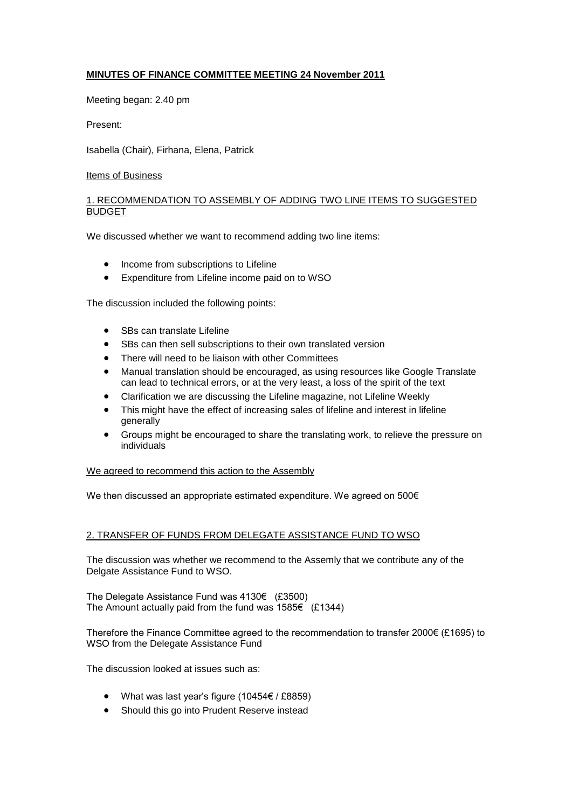# **MINUTES OF FINANCE COMMITTEE MEETING 24 November 2011**

Meeting began: 2.40 pm

Present:

Isabella (Chair), Firhana, Elena, Patrick

## Items of Business

## 1. RECOMMENDATION TO ASSEMBLY OF ADDING TWO LINE ITEMS TO SUGGESTED BUDGET

We discussed whether we want to recommend adding two line items:

- Income from subscriptions to Lifeline
- Expenditure from Lifeline income paid on to WSO

The discussion included the following points:

- SBs can translate Lifeline
- SBs can then sell subscriptions to their own translated version
- There will need to be liaison with other Committees
- Manual translation should be encouraged, as using resources like Google Translate can lead to technical errors, or at the very least, a loss of the spirit of the text
- Clarification we are discussing the Lifeline magazine, not Lifeline Weekly
- This might have the effect of increasing sales of lifeline and interest in lifeline generally
- Groups might be encouraged to share the translating work, to relieve the pressure on individuals

We agreed to recommend this action to the Assembly

We then discussed an appropriate estimated expenditure. We agreed on 500€

## 2. TRANSFER OF FUNDS FROM DELEGATE ASSISTANCE FUND TO WSO

The discussion was whether we recommend to the Assemly that we contribute any of the Delgate Assistance Fund to WSO.

The Delegate Assistance Fund was 4130€ (£3500) The Amount actually paid from the fund was 1585€ (£1344)

Therefore the Finance Committee agreed to the recommendation to transfer 2000€ (£1695) to WSO from the Delegate Assistance Fund

The discussion looked at issues such as:

- What was last year's figure (10454€ / £8859)
- Should this go into Prudent Reserve instead